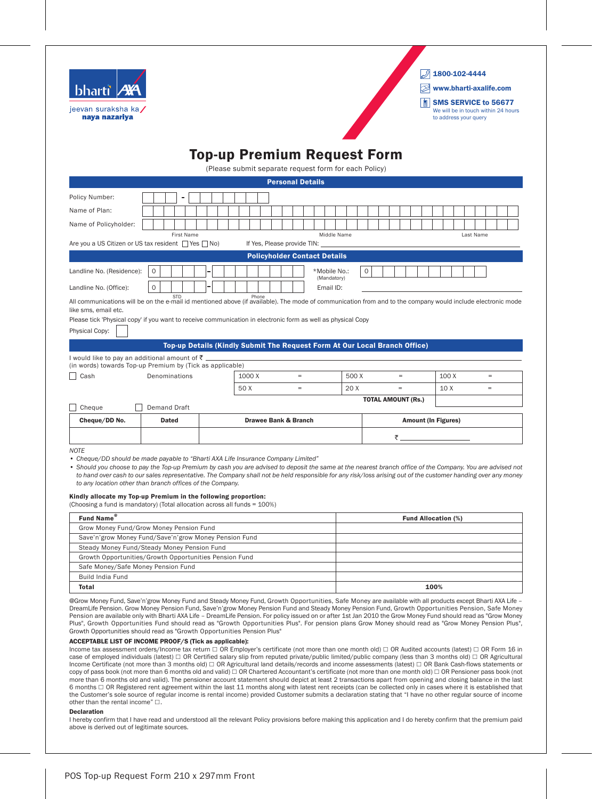

 $2$  1800-102-4444

www.bharti-axalife.com

**SMS SERVICE to 56677** We will be in touch within 24 hours to address your query

## Top-up Premium Request Form

(Please submit separate request form for each Policy)

|                                                                                                                                                                                                                                                                                                                                                                                                                                                                               |                     |  |                                 | <b>Personal Details</b>     |                                                                            |              |   |                           |    |                            |  |       |           |     |  |
|-------------------------------------------------------------------------------------------------------------------------------------------------------------------------------------------------------------------------------------------------------------------------------------------------------------------------------------------------------------------------------------------------------------------------------------------------------------------------------|---------------------|--|---------------------------------|-----------------------------|----------------------------------------------------------------------------|--------------|---|---------------------------|----|----------------------------|--|-------|-----------|-----|--|
| Policy Number:                                                                                                                                                                                                                                                                                                                                                                                                                                                                |                     |  |                                 |                             |                                                                            |              |   |                           |    |                            |  |       |           |     |  |
| Name of Plan:                                                                                                                                                                                                                                                                                                                                                                                                                                                                 |                     |  |                                 |                             |                                                                            |              |   |                           |    |                            |  |       |           |     |  |
| Name of Policyholder:                                                                                                                                                                                                                                                                                                                                                                                                                                                         |                     |  |                                 |                             |                                                                            |              |   |                           |    |                            |  |       |           |     |  |
|                                                                                                                                                                                                                                                                                                                                                                                                                                                                               | <b>First Name</b>   |  |                                 |                             | Middle Name                                                                |              |   |                           |    |                            |  |       | Last Name |     |  |
| Are you a US Citizen or US tax resident $\Box$ Yes $\Box$ No)                                                                                                                                                                                                                                                                                                                                                                                                                 |                     |  |                                 | If Yes, Please provide TIN: |                                                                            |              |   |                           |    |                            |  |       |           |     |  |
|                                                                                                                                                                                                                                                                                                                                                                                                                                                                               |                     |  |                                 |                             | <b>Policyholder Contact Details</b>                                        |              |   |                           |    |                            |  |       |           |     |  |
| Landline No. (Residence):                                                                                                                                                                                                                                                                                                                                                                                                                                                     | 0                   |  |                                 |                             | *Mobile No.:                                                               |              | 0 |                           |    |                            |  |       |           |     |  |
| Landline No. (Office):                                                                                                                                                                                                                                                                                                                                                                                                                                                        | O                   |  |                                 |                             | (Mandatory)<br>Email ID:                                                   |              |   |                           |    |                            |  |       |           |     |  |
| All communications will be on the e-mail id mentioned above (if available). The mode of communication from and to the company would include electronic mode<br>like sms, email etc.                                                                                                                                                                                                                                                                                           | <b>STD</b>          |  | Phone                           |                             |                                                                            |              |   |                           |    |                            |  |       |           |     |  |
| Please tick 'Physical copy' if you want to receive communication in electronic form as well as physical Copy                                                                                                                                                                                                                                                                                                                                                                  |                     |  |                                 |                             |                                                                            |              |   |                           |    |                            |  |       |           |     |  |
| Physical Copy:                                                                                                                                                                                                                                                                                                                                                                                                                                                                |                     |  |                                 |                             |                                                                            |              |   |                           |    |                            |  |       |           |     |  |
|                                                                                                                                                                                                                                                                                                                                                                                                                                                                               |                     |  |                                 |                             | Top-up Details (Kindly Submit The Request Form At Our Local Branch Office) |              |   |                           |    |                            |  |       |           |     |  |
| I would like to pay an additional amount of $\bar{z}$ __                                                                                                                                                                                                                                                                                                                                                                                                                      |                     |  |                                 |                             |                                                                            |              |   |                           |    |                            |  |       |           |     |  |
| (in words) towards Top-up Premium by (Tick as applicable)                                                                                                                                                                                                                                                                                                                                                                                                                     |                     |  |                                 |                             |                                                                            |              |   |                           |    |                            |  |       |           |     |  |
| Cash                                                                                                                                                                                                                                                                                                                                                                                                                                                                          | Denominations       |  | 1000 X<br>$=$                   |                             |                                                                            | 500 X<br>$=$ |   |                           |    |                            |  | 100 X |           | $=$ |  |
|                                                                                                                                                                                                                                                                                                                                                                                                                                                                               |                     |  | 50 X                            | $\equiv$                    |                                                                            | 20 X         |   |                           |    |                            |  | 10 X  |           | $=$ |  |
|                                                                                                                                                                                                                                                                                                                                                                                                                                                                               |                     |  |                                 |                             |                                                                            |              |   | <b>TOTAL AMOUNT (Rs.)</b> |    |                            |  |       |           |     |  |
| Cheque                                                                                                                                                                                                                                                                                                                                                                                                                                                                        | <b>Demand Draft</b> |  |                                 |                             |                                                                            |              |   |                           |    |                            |  |       |           |     |  |
| Cheque/DD No.                                                                                                                                                                                                                                                                                                                                                                                                                                                                 | <b>Dated</b>        |  | <b>Drawee Bank &amp; Branch</b> | <b>Amount (In Figures)</b>  |                                                                            |              |   |                           |    |                            |  |       |           |     |  |
|                                                                                                                                                                                                                                                                                                                                                                                                                                                                               |                     |  |                                 |                             |                                                                            |              |   |                           | ₹_ |                            |  |       |           |     |  |
| <b>NOTE</b>                                                                                                                                                                                                                                                                                                                                                                                                                                                                   |                     |  |                                 |                             |                                                                            |              |   |                           |    |                            |  |       |           |     |  |
| • Cheque/DD should be made payable to "Bharti AXA Life Insurance Company Limited"<br>• Should you choose to pay the Top-up Premium by cash you are advised to deposit the same at the nearest branch office of the Company. You are advised not<br>to hand over cash to our sales representative. The Company shall not be held responsible for any risk/loss arising out of the customer handing over any money<br>to any location other than branch offices of the Company. |                     |  |                                 |                             |                                                                            |              |   |                           |    |                            |  |       |           |     |  |
| Kindly allocate my Top-up Premium in the following proportion:<br>(Choosing a fund is mandatory) (Total allocation across all funds = 100%)                                                                                                                                                                                                                                                                                                                                   |                     |  |                                 |                             |                                                                            |              |   |                           |    |                            |  |       |           |     |  |
| Fund Name®                                                                                                                                                                                                                                                                                                                                                                                                                                                                    |                     |  |                                 |                             |                                                                            |              |   |                           |    | <b>Fund Allocation (%)</b> |  |       |           |     |  |
| Grow Money Fund/Grow Money Pension Fund                                                                                                                                                                                                                                                                                                                                                                                                                                       |                     |  |                                 |                             |                                                                            |              |   |                           |    |                            |  |       |           |     |  |
| Save'n'grow Money Fund/Save'n'grow Money Pension Fund                                                                                                                                                                                                                                                                                                                                                                                                                         |                     |  |                                 |                             |                                                                            |              |   |                           |    |                            |  |       |           |     |  |
| Steady Money Fund/Steady Money Pension Fund                                                                                                                                                                                                                                                                                                                                                                                                                                   |                     |  |                                 |                             |                                                                            |              |   |                           |    |                            |  |       |           |     |  |
| Growth Opportunities/Growth Opportunities Pension Fund                                                                                                                                                                                                                                                                                                                                                                                                                        |                     |  |                                 |                             |                                                                            |              |   |                           |    |                            |  |       |           |     |  |
| Safe Money/Safe Money Pension Fund                                                                                                                                                                                                                                                                                                                                                                                                                                            |                     |  |                                 |                             |                                                                            |              |   |                           |    |                            |  |       |           |     |  |
| <b>Build India Fund</b>                                                                                                                                                                                                                                                                                                                                                                                                                                                       |                     |  |                                 |                             |                                                                            |              |   |                           |    |                            |  |       |           |     |  |

@Grow Money Fund, Save'n'grow Money Fund and Steady Money Fund, Growth Opportunities, Safe Money are available with all products except Bharti AXA Life -DreamLife Pension. Grow Money Pension Fund, Save'n'grow Money Pension Fund and Steady Money Pension Fund, Growth Opportunities Pension, Safe Money Pension are available only with Bharti AXA Life – DreamLife Pension. For policy issued on or after 1st Jan 2010 the Grow Money Fund should read as "Grow Money Plus", Growth Opportunities Fund should read as "Growth Opportunities Plus". For pension plans Grow Money should read as "Grow Money Pension Plus", Growth Opportunities should read as "Growth Opportunities Pension Plus"

Total 100%

## ACCEPTABLE LIST OF INCOME PROOF/S (Tick as applicable):

Income tax assessment orders/Income tax return □ OR Employer's certificate (not more than one month old) □ OR Audited accounts (latest) □ OR Form 16 in case of employed individuals (latest)  $\Box$  OR Certified salary slip from reputed private/public limited/public company (less than 3 months old)  $\Box$  OR Agricultural Income Certificate (not more than 3 months old)  $\Box$  OR Agricultural land details/records and income assessments (latest)  $\Box$  OR Bank Cash-flows statements or copy of pass book (not more than 6 months old and valid)  $\Box$  OR Chartered Accountant's certificate (not more than one month old)  $\Box$  OR Pensioner pass book (not more than 6 months old and valid). The pensioner account statement should depict at least 2 transactions apart from opening and closing balance in the last 6 months  $\Box$  OR Registered rent agreement within the last 11 months along with latest rent receipts (can be collected only in cases where it is established that the Customer's sole source of regular income is rental income) provided Customer submits a declaration stating that "I have no other regular source of income other than the rental income"  $\Box$ 

## Declaration

I hereby confirm that I have read and understood all the relevant Policy provisions before making this application and I do hereby confirm that the premium paid above is derived out of legitimate sources.